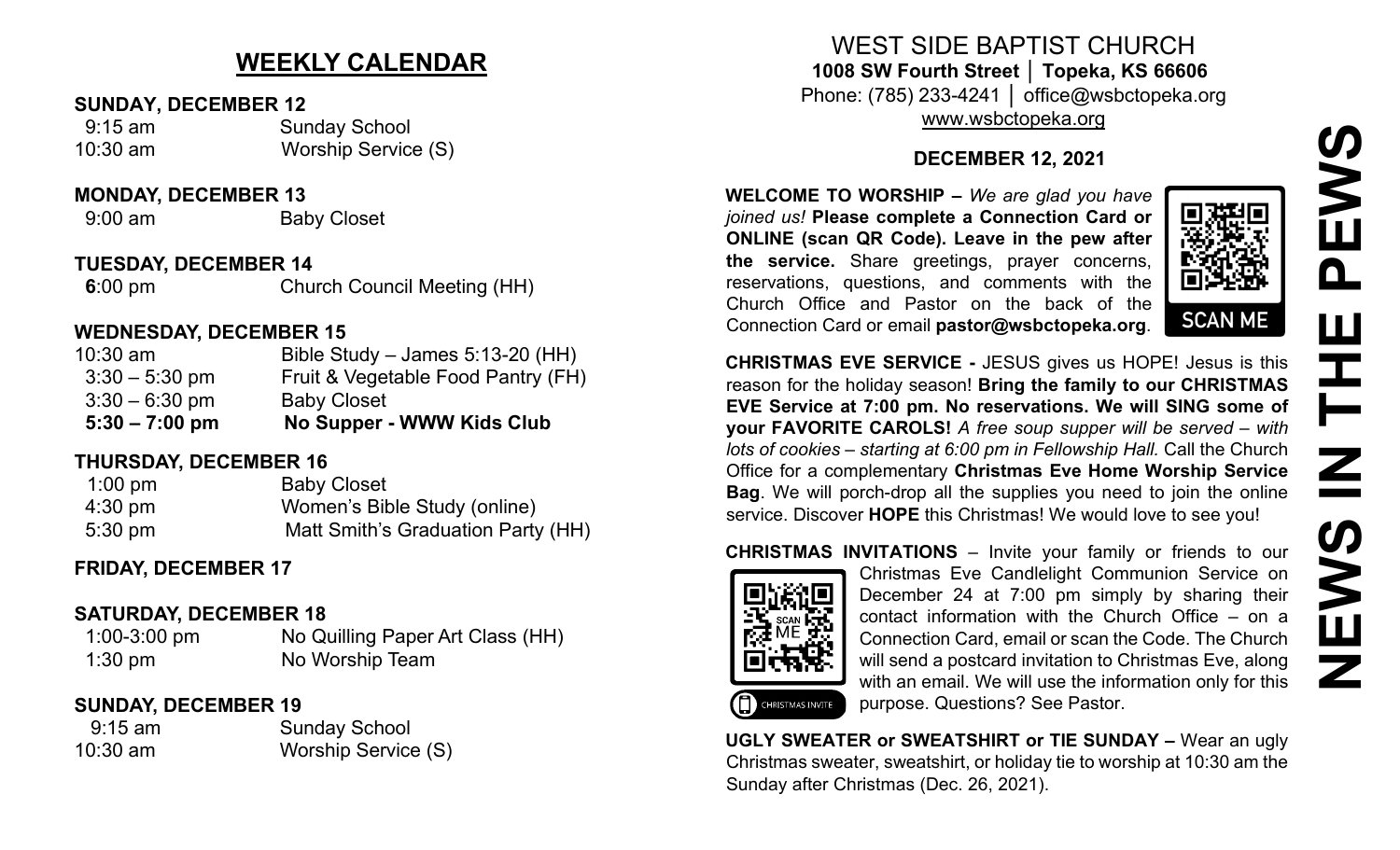## **NEWS IN THE PEWSEWS**  $\mathbf{\Omega}$ W **HH<br>N<br>N** EWS Z

### **WEEKLY CALENDAR**

#### **SUNDAY, DECEMBER 12**

 9:15 am Sunday School 10:30 am Worship Service (S)

#### **MONDAY, DECEMBER 13**

9:00 am Baby Closet

#### **TUESDAY, DECEMBER 14**

**6**:00 pm **Church Council Meeting (HH)** 

#### **WEDNESDAY, DECEMBER 15**

| $5:30 - 7:00$ pm | No Supper - WWW Kids Club          |
|------------------|------------------------------------|
| $3:30 - 6:30$ pm | <b>Baby Closet</b>                 |
| $3:30 - 5:30$ pm | Fruit & Vegetable Food Pantry (FH) |
| $10:30$ am       | Bible Study – James $5:13-20$ (HH) |

#### **THURSDAY, DECEMBER 16**

| $1:00$ pm         | <b>Baby Closet</b>                 |
|-------------------|------------------------------------|
| $4:30 \text{ pm}$ | Women's Bible Study (online)       |
| $5:30 \text{ pm}$ | Matt Smith's Graduation Party (HH) |

#### **FRIDAY, DECEMBER 17**

#### **SATURDAY, DECEMBER 18**

 1:00-3:00 pm No Quilling Paper Art Class (HH) **1:30 pm No Worship Team** 

#### **SUNDAY, DECEMBER 19**

 9:15 am Sunday School 10:30 am Worship Service (S)

WEST SIDE BAPTIST CHURCH **1008 SW Fourth Street │ Topeka, KS 66606** Phone: (785) 233-4241 │ office@wsbctopeka.org

[www.wsbctopeka.org](http://www.wsbctopeka.org/)

#### **DECEMBER 12, 2021**

**WELCOME TO WORSHIP –** *We are glad you have joined us!* **Please complete a Connection Card or ONLINE (scan QR Code). Leave in the pew after the service.** Share greetings, prayer concerns, reservations, questions, and comments with the Church Office and Pastor on the back of the Connection Card or email **pastor@wsbctopeka.org**.



**CHRISTMAS EVE SERVICE -** JESUS gives us HOPE! Jesus is this reason for the holiday season! **Bring the family to our CHRISTMAS EVE Service at 7:00 pm. No reservations. We will SING some of your FAVORITE CAROLS!** *A free soup supper will be served – with lots of cookies – starting at 6:00 pm in Fellowship Hall.* Call the Church Office for a complementary **Christmas Eve Home Worship Service Bag**. We will porch-drop all the supplies you need to join the online service. Discover **HOPE** this Christmas! We would love to see you!

# CHRISTMAS INVITE

**CHRISTMAS INVITATIONS** – Invite your family or friends to our Christmas Eve Candlelight Communion Service on December 24 at 7:00 pm simply by sharing their contact information with the Church Office – on a Connection Card, email or scan the Code. The Church will send a postcard invitation to Christmas Eve, along with an email. We will use the information only for this purpose. Questions? See Pastor.

**UGLY SWEATER or SWEATSHIRT or TIE SUNDAY –** Wear an ugly Christmas sweater, sweatshirt, or holiday tie to worship at 10:30 am the Sunday after Christmas (Dec. 26, 2021).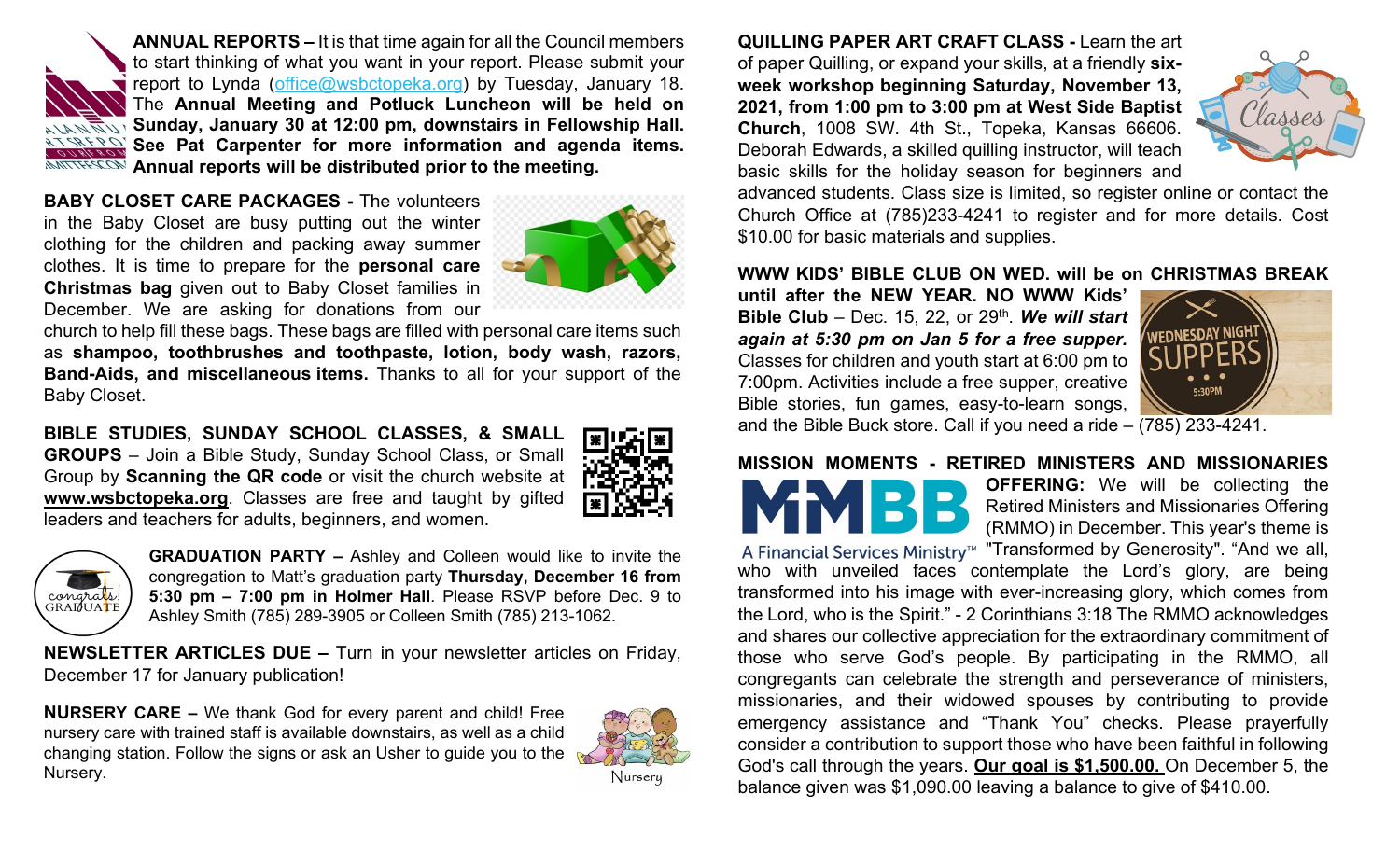**ANNUAL REPORTS –** It is that time again for all the Council members to start thinking of what you want in your report. Please submit your report to Lynda ([office@wsbctopeka.org\)](mailto:office@wsbctopeka.org) by Tuesday, January 18. The **Annual Meeting and Potluck Luncheon will be held on Sunday, January 30 at 12:00 pm, downstairs in Fellowship Hall.**  REPORTS<br>FROM OUR **See Pat Carpenter for more information and agenda items. COMMITTEES** Annual reports will be distributed prior to the meeting.

**BABY CLOSET CARE PACKAGES -** The volunteers in the Baby Closet are busy putting out the winter clothing for the children and packing away summer clothes. It is time to prepare for the **personal care Christmas bag** given out to Baby Closet families in December. We are asking for donations from our



church to help fill these bags. These bags are filled with personal care items such as **shampoo, toothbrushes and toothpaste, lotion, body wash, razors, Band-Aids, and miscellaneous items.** Thanks to all for your support of the Baby Closet.

**BIBLE STUDIES, SUNDAY SCHOOL CLASSES, & SMALL GROUPS** – Join a Bible Study, Sunday School Class, or Small Group by **Scanning the QR code** or visit the church website at **www.wsbctopeka.org**. Classes are free and taught by gifted leaders and teachers for adults, beginners, and women.





**GRADUATION PARTY –** Ashley and Colleen would like to invite the congregation to Matt's graduation party **Thursday, December 16 from 5:30 pm – 7:00 pm in Holmer Hall**. Please RSVP before Dec. 9 to Ashley Smith (785) 289-3905 or Colleen Smith (785) 213-1062.

**NEWSLETTER ARTICLES DUE –** Turn in your newsletter articles on Friday, December 17 for January publication!

**NURSERY CARE –** We thank God for every parent and child! Free nursery care with trained staff is available downstairs, as well as a child changing station. Follow the signs or ask an Usher to guide you to the Nursery.



**QUILLING PAPER ART CRAFT CLASS -** Learn the art of paper Quilling, or expand your skills, at a friendly **sixweek workshop beginning Saturday, November 13, 2021, from 1:00 pm to 3:00 pm at West Side Baptist Church**, 1008 SW. 4th St., Topeka, Kansas 66606. Deborah Edwards, a skilled quilling instructor, will teach basic skills for the holiday season for beginners and



advanced students. Class size is limited, so register online or contact the Church Office at (785)233-4241 to register and for more details. Cost \$10.00 for basic materials and supplies.

#### **WWW KIDS' BIBLE CLUB ON WED. will be on CHRISTMAS BREAK**

**until after the NEW YEAR. NO WWW Kids' Bible Club** – Dec. 15, 22, or 29<sup>th</sup>. We will start *again at 5:30 pm on Jan 5 for a free supper.* Classes for children and youth start at 6:00 pm to 7:00pm. Activities include a free supper, creative Bible stories, fun games, easy-to-learn songs, and the Bible Buck store. Call if you need a ride – (785) 233-4241.



#### **MISSION MOMENTS - RETIRED MINISTERS AND MISSIONARIES**



**OFFERING:** We will be collecting the Retired Ministers and Missionaries Offering (RMMO) in December. This year's theme is

A Financial Services Ministry<sup>™</sup> "Transformed by Generosity". "And we all, who with unveiled faces contemplate the Lord's glory, are being transformed into his image with ever-increasing glory, which comes from the Lord, who is the Spirit." - 2 Corinthians 3:18 The RMMO acknowledges and shares our collective appreciation for the extraordinary commitment of those who serve God's people. By participating in the RMMO, all congregants can celebrate the strength and perseverance of ministers, missionaries, and their widowed spouses by contributing to provide emergency assistance and "Thank You" checks. Please prayerfully consider a contribution to support those who have been faithful in following God's call through the years. **Our goal is \$1,500.00.** On December 5, the balance given was \$1,090.00 leaving a balance to give of \$410.00.